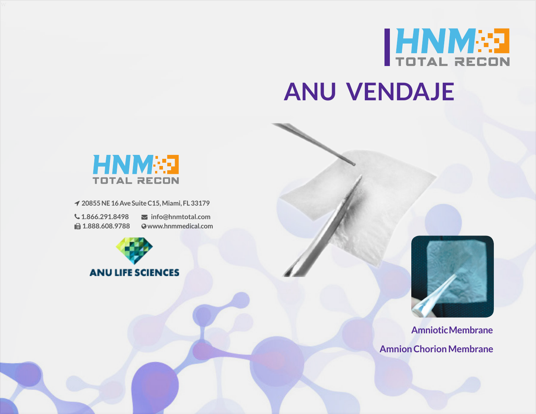

## **ANU VENDAJE**



 **20855 NE 16 Ave Suite C15, Miami, FL 33179**

 **1.866.291.8498 1.888.608.9788**

 **info@hnmtotal.com www.hnmmedical.com**





**Amniotic Membrane Amnion Chorion Membrane**